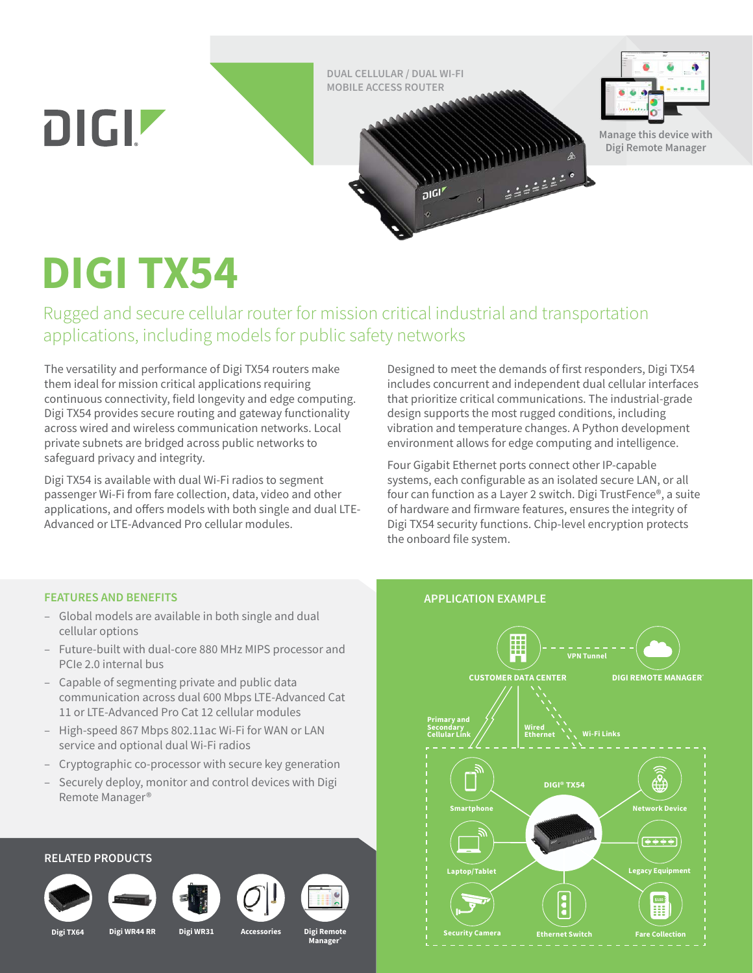**DUAL CELLULAR / DUAL WI-FI MOBILE ACCESS ROUTER**

 $\overline{D}$   $\overline{D}$ 





**Manage this device with Digi Remote Manager**

# **DIGI TX54**

Rugged and secure cellular router for mission critical industrial and transportation applications, including models for public safety networks

The versatility and performance of Digi TX54 routers make them ideal for mission critical applications requiring continuous connectivity, field longevity and edge computing. Digi TX54 provides secure routing and gateway functionality across wired and wireless communication networks. Local private subnets are bridged across public networks to safeguard privacy and integrity.

Digi TX54 is available with dual Wi-Fi radios to segment passenger Wi-Fi from fare collection, data, video and other applications, and offers models with both single and dual LTE-Advanced or LTE-Advanced Pro cellular modules.

Designed to meet the demands of first responders, Digi TX54 includes concurrent and independent dual cellular interfaces that prioritize critical communications. The industrial-grade design supports the most rugged conditions, including vibration and temperature changes. A Python development environment allows for edge computing and intelligence.

**SANDROPOSTER** 

Four Gigabit Ethernet ports connect other IP-capable systems, each configurable as an isolated secure LAN, or all four can function as a Layer 2 switch. Digi TrustFence®, a suite of hardware and firmware features, ensures the integrity of Digi TX54 security functions. Chip-level encryption protects the onboard file system.

# **FEATURES AND BENEFITS**

- Global models are available in both single and dual cellular options
- Future-built with dual-core 880 MHz MIPS processor and PCIe 2.0 internal bus
- Capable of segmenting private and public data communication across dual 600 Mbps LTE-Advanced Cat 11 or LTE-Advanced Pro Cat 12 cellular modules
- High-speed 867 Mbps 802.11ac Wi-Fi for WAN or LAN service and optional dual Wi-Fi radios
- Cryptographic co-processor with secure key generation
- Securely deploy, monitor and control devices with Digi Remote Manager®

# **RELATED PRODUCTS Digi TX64 Digi WR44 RR Digi WR31 Accessories Digi Remote Manager®**

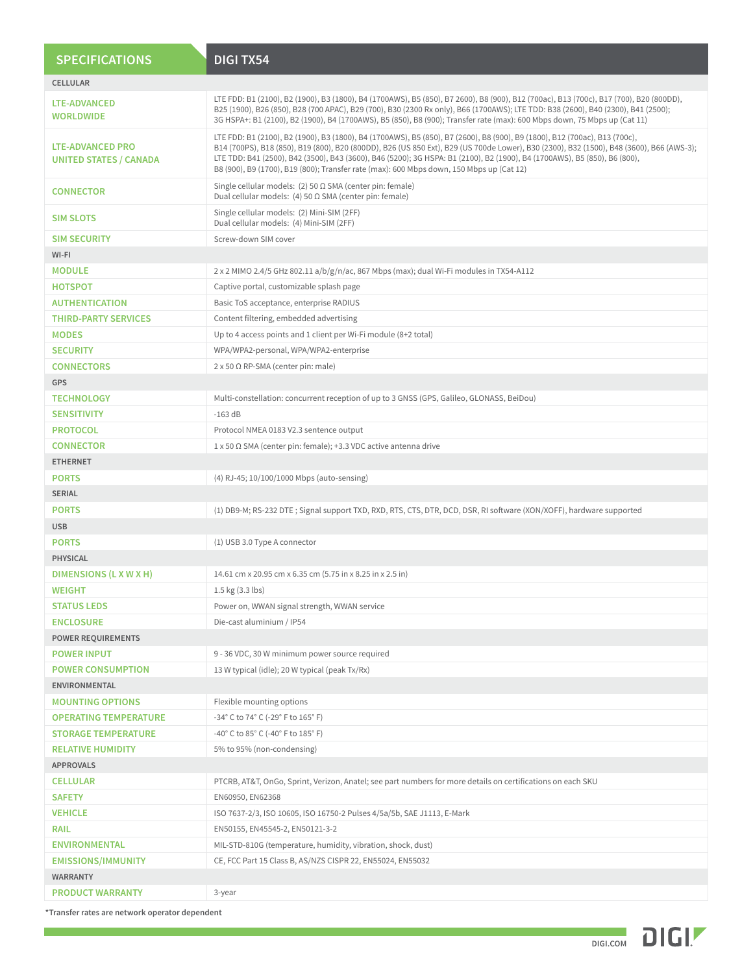| <b>SPECIFICATIONS</b>                             | <b>DIGITX54</b>                                                                                                                                                                                                                                                                                                                                                                                                                                                                                 |  |  |
|---------------------------------------------------|-------------------------------------------------------------------------------------------------------------------------------------------------------------------------------------------------------------------------------------------------------------------------------------------------------------------------------------------------------------------------------------------------------------------------------------------------------------------------------------------------|--|--|
| <b>CELLULAR</b>                                   |                                                                                                                                                                                                                                                                                                                                                                                                                                                                                                 |  |  |
| <b>LTE-ADVANCED</b><br><b>WORLDWIDE</b>           | LTE FDD: B1 (2100), B2 (1900), B3 (1800), B4 (1700AWS), B5 (850), B7 2600), B8 (900), B12 (700ac), B13 (700c), B17 (700), B20 (800DD),<br>B25 (1900), B26 (850), B28 (700 APAC), B29 (700), B30 (2300 Rx only), B66 (1700AWS); LTE TDD: B38 (2600), B40 (2300), B41 (2500);<br>3G HSPA+: B1 (2100), B2 (1900), B4 (1700AWS), B5 (850), B8 (900); Transfer rate (max): 600 Mbps down, 75 Mbps up (Cat 11)                                                                                        |  |  |
| LTE-ADVANCED PRO<br><b>UNITED STATES / CANADA</b> | LTE FDD: B1 (2100), B2 (1900), B3 (1800), B4 (1700AWS), B5 (850), B7 (2600), B8 (900), B9 (1800), B12 (700ac), B13 (700c),<br>B14 (700PS), B18 (850), B19 (800), B20 (800DD), B26 (US 850 Ext), B29 (US 700de Lower), B30 (2300), B32 (1500), B48 (3600), B66 (AWS-3);<br>LTE TDD: B41 (2500), B42 (3500), B43 (3600), B46 (5200); 3G HSPA: B1 (2100), B2 (1900), B4 (1700AWS), B5 (850), B6 (800),<br>B8 (900), B9 (1700), B19 (800); Transfer rate (max): 600 Mbps down, 150 Mbps up (Cat 12) |  |  |
| <b>CONNECTOR</b>                                  | Single cellular models: (2) 50 $\Omega$ SMA (center pin: female)<br>Dual cellular models: (4) 50 $\Omega$ SMA (center pin: female)                                                                                                                                                                                                                                                                                                                                                              |  |  |
| <b>SIM SLOTS</b>                                  | Single cellular models: (2) Mini-SIM (2FF)<br>Dual cellular models: (4) Mini-SIM (2FF)                                                                                                                                                                                                                                                                                                                                                                                                          |  |  |
| <b>SIM SECURITY</b>                               | Screw-down SIM cover                                                                                                                                                                                                                                                                                                                                                                                                                                                                            |  |  |
| WI-FI                                             |                                                                                                                                                                                                                                                                                                                                                                                                                                                                                                 |  |  |
| <b>MODULE</b>                                     | $2 \times 2$ MIMO 2.4/5 GHz 802.11 a/b/g/n/ac, 867 Mbps (max); dual Wi-Fi modules in TX54-A112                                                                                                                                                                                                                                                                                                                                                                                                  |  |  |
| <b>HOTSPOT</b>                                    | Captive portal, customizable splash page                                                                                                                                                                                                                                                                                                                                                                                                                                                        |  |  |
| <b>AUTHENTICATION</b>                             | Basic ToS acceptance, enterprise RADIUS                                                                                                                                                                                                                                                                                                                                                                                                                                                         |  |  |
| <b>THIRD-PARTY SERVICES</b>                       | Content filtering, embedded advertising                                                                                                                                                                                                                                                                                                                                                                                                                                                         |  |  |
| <b>MODES</b>                                      | Up to 4 access points and 1 client per Wi-Fi module (8+2 total)                                                                                                                                                                                                                                                                                                                                                                                                                                 |  |  |
| <b>SECURITY</b>                                   | WPA/WPA2-personal, WPA/WPA2-enterprise                                                                                                                                                                                                                                                                                                                                                                                                                                                          |  |  |
| <b>CONNECTORS</b>                                 | $2 \times 50 \Omega$ RP-SMA (center pin: male)                                                                                                                                                                                                                                                                                                                                                                                                                                                  |  |  |
| <b>GPS</b>                                        |                                                                                                                                                                                                                                                                                                                                                                                                                                                                                                 |  |  |
| <b>TECHNOLOGY</b>                                 | Multi-constellation: concurrent reception of up to 3 GNSS (GPS, Galileo, GLONASS, BeiDou)                                                                                                                                                                                                                                                                                                                                                                                                       |  |  |
| <b>SENSITIVITY</b>                                | $-163$ dB                                                                                                                                                                                                                                                                                                                                                                                                                                                                                       |  |  |
| <b>PROTOCOL</b>                                   | Protocol NMEA 0183 V2.3 sentence output                                                                                                                                                                                                                                                                                                                                                                                                                                                         |  |  |
| <b>CONNECTOR</b>                                  | $1 \times 50 \Omega$ SMA (center pin: female); +3.3 VDC active antenna drive                                                                                                                                                                                                                                                                                                                                                                                                                    |  |  |
| <b>ETHERNET</b>                                   |                                                                                                                                                                                                                                                                                                                                                                                                                                                                                                 |  |  |
| <b>PORTS</b>                                      | (4) RJ-45; 10/100/1000 Mbps (auto-sensing)                                                                                                                                                                                                                                                                                                                                                                                                                                                      |  |  |
| <b>SERIAL</b>                                     |                                                                                                                                                                                                                                                                                                                                                                                                                                                                                                 |  |  |
| <b>PORTS</b>                                      |                                                                                                                                                                                                                                                                                                                                                                                                                                                                                                 |  |  |
|                                                   | (1) DB9-M; RS-232 DTE; Signal support TXD, RXD, RTS, CTS, DTR, DCD, DSR, RI software (XON/XOFF), hardware supported                                                                                                                                                                                                                                                                                                                                                                             |  |  |
| <b>USB</b>                                        |                                                                                                                                                                                                                                                                                                                                                                                                                                                                                                 |  |  |
| <b>PORTS</b>                                      | (1) USB 3.0 Type A connector                                                                                                                                                                                                                                                                                                                                                                                                                                                                    |  |  |
| <b>PHYSICAL</b>                                   |                                                                                                                                                                                                                                                                                                                                                                                                                                                                                                 |  |  |
| DIMENSIONS (L X W X H)                            | 14.61 cm x 20.95 cm x 6.35 cm (5.75 in x 8.25 in x 2.5 in)                                                                                                                                                                                                                                                                                                                                                                                                                                      |  |  |
| <b>WEIGHT</b>                                     | 1.5 kg (3.3 lbs)                                                                                                                                                                                                                                                                                                                                                                                                                                                                                |  |  |
| <b>STATUS LEDS</b>                                | Power on, WWAN signal strength, WWAN service                                                                                                                                                                                                                                                                                                                                                                                                                                                    |  |  |
| <b>ENCLOSURE</b>                                  | Die-cast aluminium / IP54                                                                                                                                                                                                                                                                                                                                                                                                                                                                       |  |  |
| <b>POWER REQUIREMENTS</b>                         |                                                                                                                                                                                                                                                                                                                                                                                                                                                                                                 |  |  |
| <b>POWER INPUT</b>                                | 9 - 36 VDC, 30 W minimum power source required                                                                                                                                                                                                                                                                                                                                                                                                                                                  |  |  |
| <b>POWER CONSUMPTION</b>                          | 13 W typical (idle); 20 W typical (peak Tx/Rx)                                                                                                                                                                                                                                                                                                                                                                                                                                                  |  |  |
| ENVIRONMENTAL                                     |                                                                                                                                                                                                                                                                                                                                                                                                                                                                                                 |  |  |
| <b>MOUNTING OPTIONS</b>                           | Flexible mounting options                                                                                                                                                                                                                                                                                                                                                                                                                                                                       |  |  |
| <b>OPERATING TEMPERATURE</b>                      | $-34^{\circ}$ C to 74 $^{\circ}$ C ( $-29^{\circ}$ F to 165 $^{\circ}$ F)                                                                                                                                                                                                                                                                                                                                                                                                                       |  |  |
| <b>STORAGE TEMPERATURE</b>                        | -40° C to 85° C (-40° F to 185° F)                                                                                                                                                                                                                                                                                                                                                                                                                                                              |  |  |
| <b>RELATIVE HUMIDITY</b>                          | 5% to 95% (non-condensing)                                                                                                                                                                                                                                                                                                                                                                                                                                                                      |  |  |
| <b>APPROVALS</b>                                  |                                                                                                                                                                                                                                                                                                                                                                                                                                                                                                 |  |  |
| <b>CELLULAR</b>                                   | PTCRB, AT&T, OnGo, Sprint, Verizon, Anatel; see part numbers for more details on certifications on each SKU                                                                                                                                                                                                                                                                                                                                                                                     |  |  |
| <b>SAFETY</b>                                     | EN60950, EN62368                                                                                                                                                                                                                                                                                                                                                                                                                                                                                |  |  |
| <b>VEHICLE</b>                                    | ISO 7637-2/3, ISO 10605, ISO 16750-2 Pulses 4/5a/5b, SAE J1113, E-Mark                                                                                                                                                                                                                                                                                                                                                                                                                          |  |  |
| <b>RAIL</b>                                       | EN50155, EN45545-2, EN50121-3-2                                                                                                                                                                                                                                                                                                                                                                                                                                                                 |  |  |
| <b>ENVIRONMENTAL</b>                              | MIL-STD-810G (temperature, humidity, vibration, shock, dust)                                                                                                                                                                                                                                                                                                                                                                                                                                    |  |  |
| <b>EMISSIONS/IMMUNITY</b>                         | CE, FCC Part 15 Class B, AS/NZS CISPR 22, EN55024, EN55032                                                                                                                                                                                                                                                                                                                                                                                                                                      |  |  |
| <b>WARRANTY</b>                                   |                                                                                                                                                                                                                                                                                                                                                                                                                                                                                                 |  |  |
| <b>PRODUCT WARRANTY</b>                           | 3-year                                                                                                                                                                                                                                                                                                                                                                                                                                                                                          |  |  |
|                                                   |                                                                                                                                                                                                                                                                                                                                                                                                                                                                                                 |  |  |

**\*Transfer rates are network operator dependent**

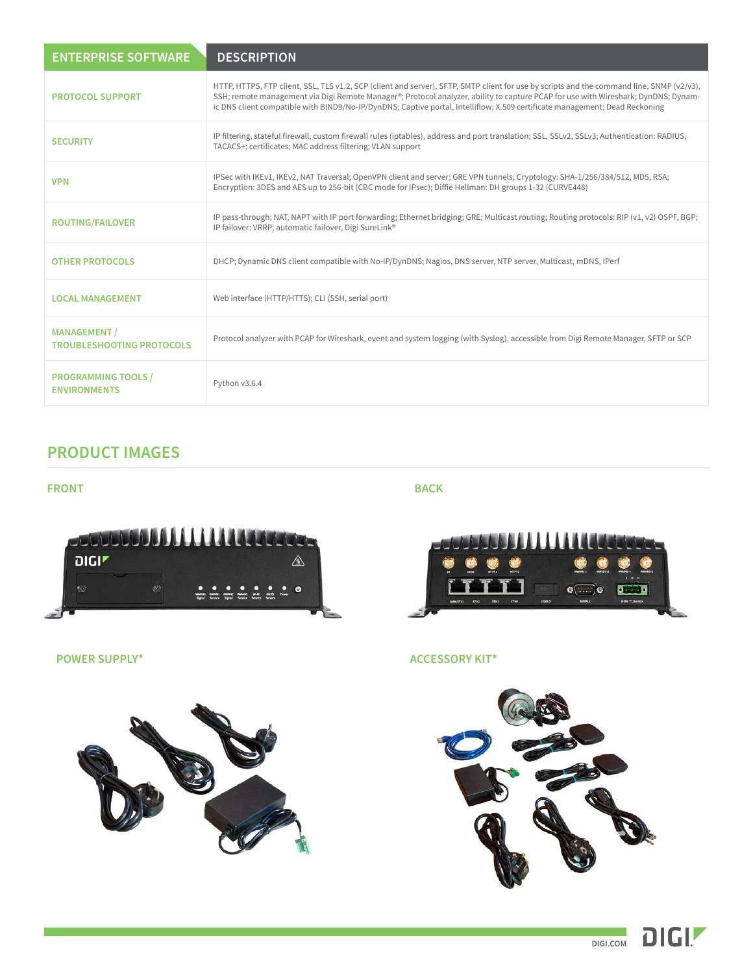| <b>ENTERPRISE SOFTWARE</b>                              | <b>DESCRIPTION</b>                                                                                                                                                                                                                                                                                                                                                                                             |
|---------------------------------------------------------|----------------------------------------------------------------------------------------------------------------------------------------------------------------------------------------------------------------------------------------------------------------------------------------------------------------------------------------------------------------------------------------------------------------|
| <b>PROTOCOL SUPPORT</b>                                 | HTTP, HTTPS, FTP client, SSL, TLS v1.2, SCP (client and server), SFTP, SMTP client for use by scripts and the command line, SNMP (v2/v3),<br>SSH; remote management via Digi Remote Manager®; Protocol analyzer, ability to capture PCAP for use with Wireshark; DynDNS; Dynam-<br>ic DNS client compatible with BIND9/No-IP/DynDNS; Captive portal, Intelliflow; X.509 certificate management; Dead Reckoning |
| <b>SECURITY</b>                                         | IP filtering, stateful firewall, custom firewall rules (iptables), address and port translation; SSL, SSLv2, SSLv3; Authentication: RADIUS,<br>TACACS+; certificates; MAC address filtering; VLAN support                                                                                                                                                                                                      |
| <b>VPN</b>                                              | IPSec with IKEv1, IKEv2, NAT Traversal; OpenVPN client and server; GRE VPN tunnels; Cryptology: SHA-1/256/384/512, MD5, RSA;<br>Encryption: 3DES and AES up to 256-bit (CBC mode for IPsec); Diffie Hellman: DH groups 1-32 (CURVE448)                                                                                                                                                                         |
| <b>ROUTING/FAILOVER</b>                                 | IP pass-through; NAT, NAPT with IP port forwarding; Ethernet bridging; GRE; Multicast routing; Routing protocols: RIP (v1, v2) OSPF, BGP;<br>IP failover: VRRP; automatic failover, Digi SureLink®                                                                                                                                                                                                             |
| <b>OTHER PROTOCOLS</b>                                  | DHCP; Dynamic DNS client compatible with No-IP/DynDNS; Nagios, DNS server, NTP server, Multicast, mDNS, IPerf                                                                                                                                                                                                                                                                                                  |
| <b>LOCAL MANAGEMENT</b>                                 | Web interface (HTTP/HTTS); CLI (SSH, serial port)                                                                                                                                                                                                                                                                                                                                                              |
| <b>MANAGEMENT /</b><br><b>TROUBLESHOOTING PROTOCOLS</b> | Protocol analyzer with PCAP for Wireshark, event and system logging (with Syslog), accessible from Digi Remote Manager, SFTP or SCP                                                                                                                                                                                                                                                                            |
| <b>PROGRAMMING TOOLS /</b><br><b>ENVIRONMENTS</b>       | Python v3.6.4                                                                                                                                                                                                                                                                                                                                                                                                  |

# **PRODUCT IMAGES**

## **FRONT BACK**





### **POWER SUPPLY\* ACCESSORY KIT\***







**DIGI.COM**